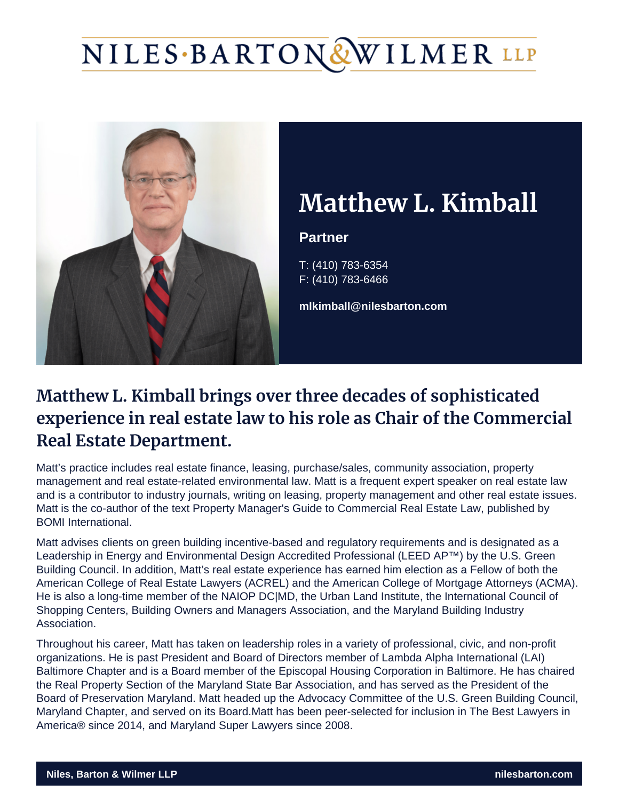# NILES·BARTON&WILMER LLP



## **Matthew L. Kimball**

#### **Partner**

T: (410) 783-6354 F: (410) 783-6466

**mlkimball@nilesbarton.com**

### **Matthew L. Kimball brings over three decades of sophisticated experience in real estate law to his role as Chair of the Commercial Real Estate Department.**

Matt's practice includes real estate finance, leasing, purchase/sales, community association, property management and real estate-related environmental law. Matt is a frequent expert speaker on real estate law and is a contributor to industry journals, writing on leasing, property management and other real estate issues. Matt is the co-author of the text Property Manager's Guide to Commercial Real Estate Law, published by BOMI International.

Matt advises clients on green building incentive-based and regulatory requirements and is designated as a Leadership in Energy and Environmental Design Accredited Professional (LEED AP™) by the U.S. Green Building Council. In addition, Matt's real estate experience has earned him election as a Fellow of both the American College of Real Estate Lawyers (ACREL) and the American College of Mortgage Attorneys (ACMA). He is also a long-time member of the NAIOP DC|MD, the Urban Land Institute, the International Council of Shopping Centers, Building Owners and Managers Association, and the Maryland Building Industry Association.

Throughout his career, Matt has taken on leadership roles in a variety of professional, civic, and non-profit organizations. He is past President and Board of Directors member of Lambda Alpha International (LAI) Baltimore Chapter and is a Board member of the Episcopal Housing Corporation in Baltimore. He has chaired the Real Property Section of the Maryland State Bar Association, and has served as the President of the Board of Preservation Maryland. Matt headed up the Advocacy Committee of the U.S. Green Building Council, Maryland Chapter, and served on its Board.Matt has been peer-selected for inclusion in The Best Lawyers in America® since 2014, and Maryland Super Lawyers since 2008.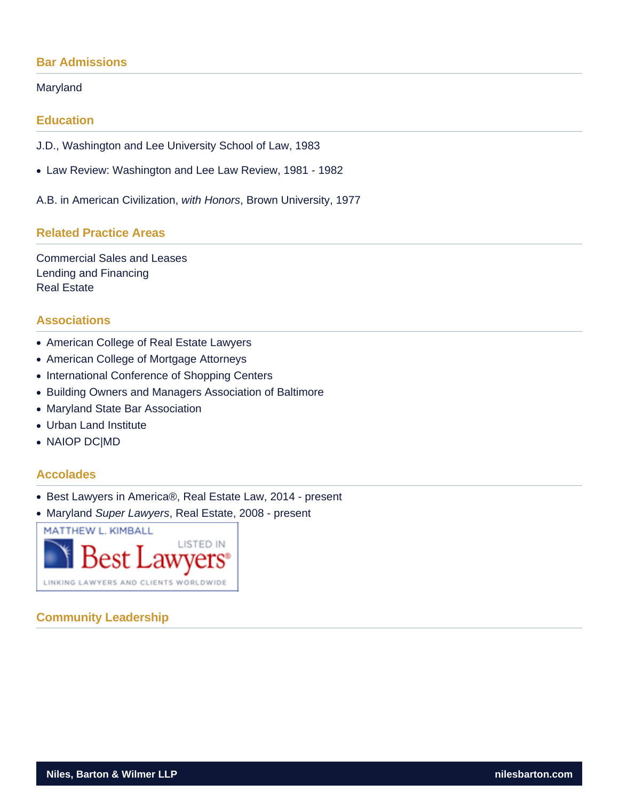#### **Bar Admissions**

#### Maryland

#### **Education**

J.D., Washington and Lee University School of Law, 1983

Law Review: Washington and Lee Law Review, 1981 - 1982

A.B. in American Civilization, with Honors, Brown University, 1977

#### **Related Practice Areas**

Commercial Sales and Leases Lending and Financing Real Estate

#### **Associations**

- American College of Real Estate Lawyers
- American College of Mortgage Attorneys
- International Conference of Shopping Centers
- Building Owners and Managers Association of Baltimore
- Maryland State Bar Association
- Urban Land Institute
- NAIOP DC|MD

#### **Accolades**

- Best Lawyers in America®, Real Estate Law, 2014 present
- Maryland Super Lawyers, Real Estate, 2008 present



#### **Community Leadership**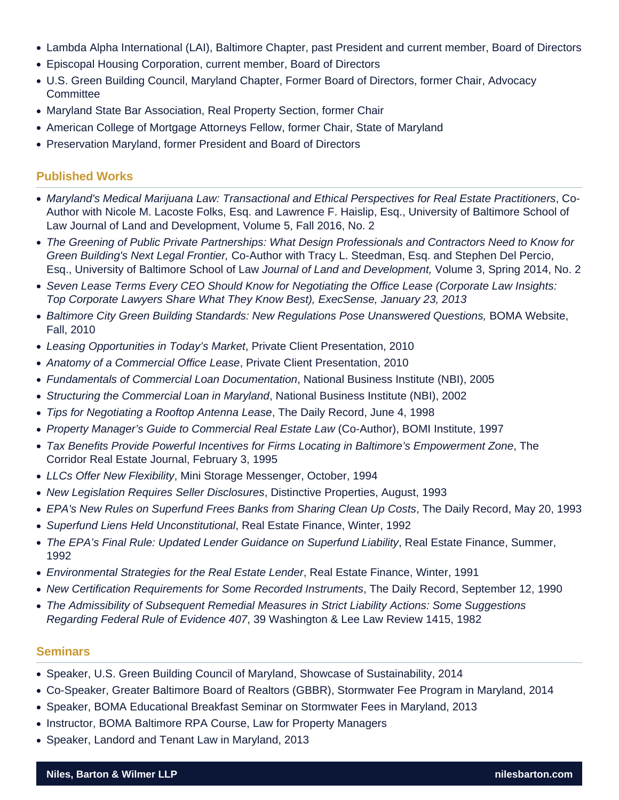- Lambda Alpha International (LAI), Baltimore Chapter, past President and current member, Board of Directors
- Episcopal Housing Corporation, current member, Board of Directors
- U.S. Green Building Council, Maryland Chapter, Former Board of Directors, former Chair, Advocacy **Committee**
- Maryland State Bar Association, Real Property Section, former Chair
- American College of Mortgage Attorneys Fellow, former Chair, State of Maryland
- Preservation Maryland, former President and Board of Directors

#### Published Works

- [Maryland's Medical Marijuana Law: Transactional and Ethical Perspectives for Real Estate Practitioners,](http://scholarworks.law.ubalt.edu/cgi/viewcontent.cgi?article=1053&context=ubjld) Co-Author with Nicole M. Lacoste Folks, Esq. and Lawrence F. Haislip, Esq., University of Baltimore School of Law Journal of Land and Development, Volume 5, Fall 2016, No. 2
- The Greening of Public Private Partnerships: What Design Professionals and Contractors Need to Know for Green Building's Next Legal Frontier, Co-Author with Tracy L. Steedman, Esq. and Stephen Del Percio, Esq., University of Baltimore School of Law Journal of Land and Development, Volume 3, Spring 2014, No. 2
- Seven Lease Terms Every CEO Should Know for Negotiating the Office Lease (Corporate Law Insights: Top Corporate Lawyers Share What They Know Best), ExecSense, January 23, 2013
- Baltimore City Green Building Standards: New Regulations Pose Unanswered Questions, BOMA Website, Fall, 2010
- Leasing Opportunities in Today's Market, Private Client Presentation, 2010
- Anatomy of a Commercial Office Lease, Private Client Presentation, 2010
- Fundamentals of Commercial Loan Documentation, National Business Institute (NBI), 2005
- Structuring the Commercial Loan in Maryland, National Business Institute (NBI), 2002
- Tips for Negotiating a Rooftop Antenna Lease, The Daily Record, June 4, 1998
- Property Manager's Guide to Commercial Real Estate Law (Co-Author), BOMI Institute, 1997
- Tax Benefits Provide Powerful Incentives for Firms Locating in Baltimore's Empowerment Zone, The Corridor Real Estate Journal, February 3, 1995
- LLCs Offer New Flexibility, Mini Storage Messenger, October, 1994
- New Legislation Requires Seller Disclosures, Distinctive Properties, August, 1993
- EPA's New Rules on Superfund Frees Banks from Sharing Clean Up Costs, The Daily Record, May 20, 1993
- Superfund Liens Held Unconstitutional, Real Estate Finance, Winter, 1992
- The EPA's Final Rule: Updated Lender Guidance on Superfund Liability, Real Estate Finance, Summer, 1992
- Environmental Strategies for the Real Estate Lender, Real Estate Finance, Winter, 1991
- New Certification Requirements for Some Recorded Instruments, The Daily Record, September 12, 1990
- The Admissibility of Subsequent Remedial Measures in Strict Liability Actions: Some Suggestions Regarding Federal Rule of Evidence 407, 39 Washington & Lee Law Review 1415, 1982

#### **Seminars**

- Speaker, U.S. Green Building Council of Maryland, [Showcase of Sustainability](http://www.usgbcmd.org/calendar?eventId=802168&EventViewMode=2&CalendarViewType=1&SelectedDate=2/7/2014), 2014
- Co-Speaker, Greater Baltimore Board of Realtors (GBBR), [Stormwater Fee Program in Maryland](http://www.gbbr.org/main/donotdelete/empages/eventdescription/?CalendarEventKey=a6f9c76a-bdff-4f72-b443-cea768123d4a&EventTypeKey=&Home=/calendar1), 2014
- Speaker, BOMA Educational Breakfast Seminar on Stormwater Fees in Maryland, 2013
- Instructor, BOMA Baltimore RPA Course, Law for Property Managers
- Speaker, Landord and Tenant Law in Maryland, 2013